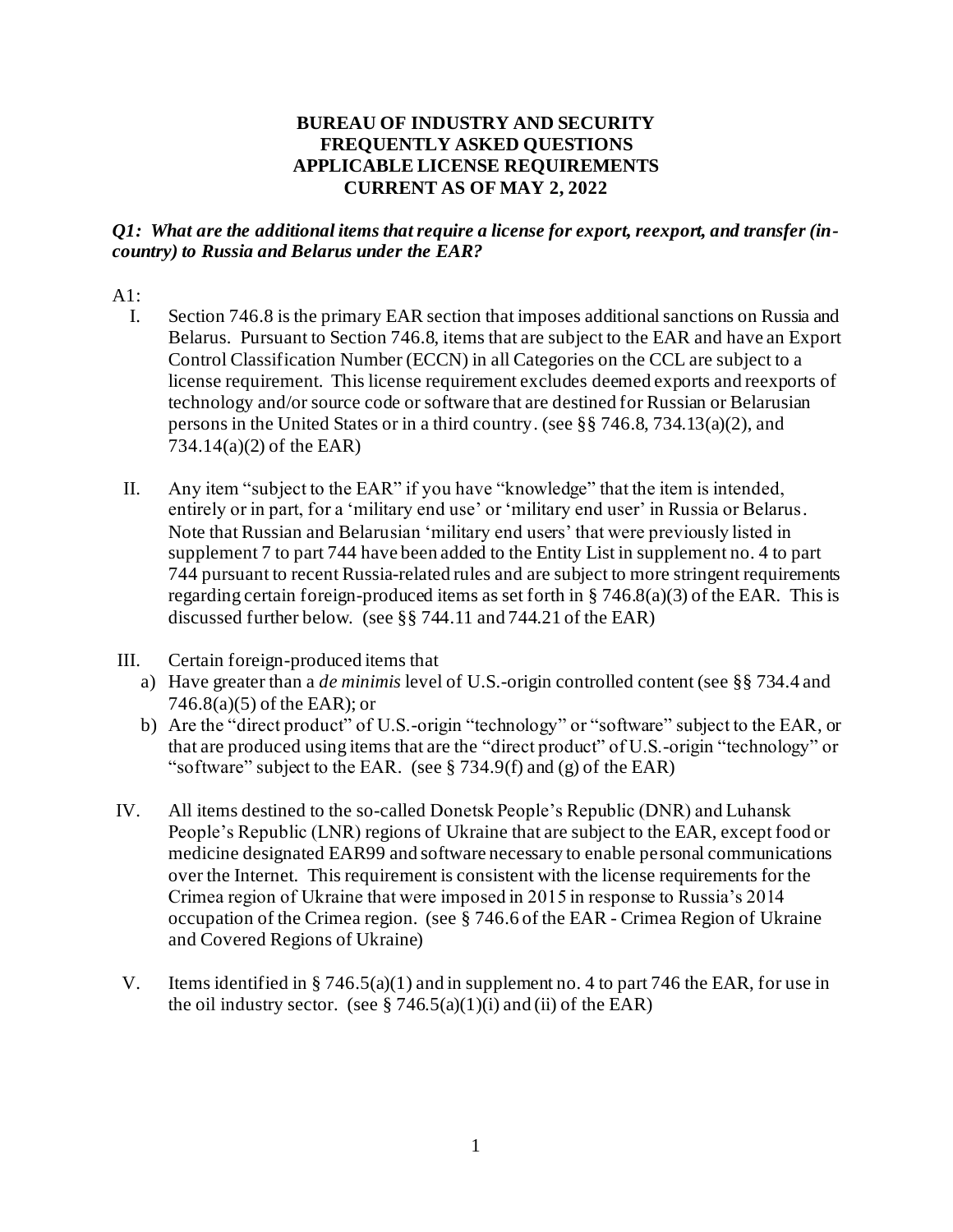### **BUREAU OF INDUSTRY AND SECURITY FREQUENTLY ASKED QUESTIONS APPLICABLE LICENSE REQUIREMENTS CURRENT AS OF MAY 2, 2022**

### *Q1: What are the additional items that require a license for export, reexport, and transfer (incountry) to Russia and Belarus under the EAR?*

# $A1$ :

- I. Section 746.8 is the primary EAR section that imposes additional sanctions on Russia and Belarus. Pursuant to Section 746.8, items that are subject to the EAR and have an Export Control Classification Number (ECCN) in all Categories on the CCL are subject to a license requirement. This license requirement excludes deemed exports and reexports of technology and/or source code or software that are destined for Russian or Belarusian persons in the United States or in a third country. (see §§ 746.8, 734.13(a)(2), and 734.14(a)(2) of the EAR)
- II. Any item "subject to the EAR" if you have "knowledge" that the item is intended, entirely or in part, for a 'military end use' or 'military end user' in Russia or Belarus. Note that Russian and Belarusian 'military end users' that were previously listed in supplement 7 to part 744 have been added to the Entity List in supplement no. 4 to part 744 pursuant to recent Russia-related rules and are subject to more stringent requirements regarding certain foreign-produced items as set forth in  $\S 746.8(a)(3)$  of the EAR. This is discussed further below. (see §§ 744.11 and 744.21 of the EAR)
- III. Certain foreign-produced items that
	- a) Have greater than a *de minimis* level of U.S.-origin controlled content (see §§ 734.4 and 746.8(a)(5) of the EAR); or
	- b) Are the "direct product" of U.S.-origin "technology" or "software" subject to the EAR, or that are produced using items that are the "direct product" of U.S.-origin "technology" or "software" subject to the EAR. (see  $\S 734.9(f)$  and (g) of the EAR)
- IV. All items destined to the so-called Donetsk People's Republic (DNR) and Luhansk People's Republic (LNR) regions of Ukraine that are subject to the EAR, except food or medicine designated EAR99 and software necessary to enable personal communications over the Internet. This requirement is consistent with the license requirements for the Crimea region of Ukraine that were imposed in 2015 in response to Russia's 2014 occupation of the Crimea region. (see § 746.6 of the EAR - Crimea Region of Ukraine and Covered Regions of Ukraine)
- V. Items identified in § 746.5(a)(1) and in supplement no. 4 to part 746 the EAR, for use in the oil industry sector. (see  $\S 746.5(a)(1)(i)$  and (ii) of the EAR)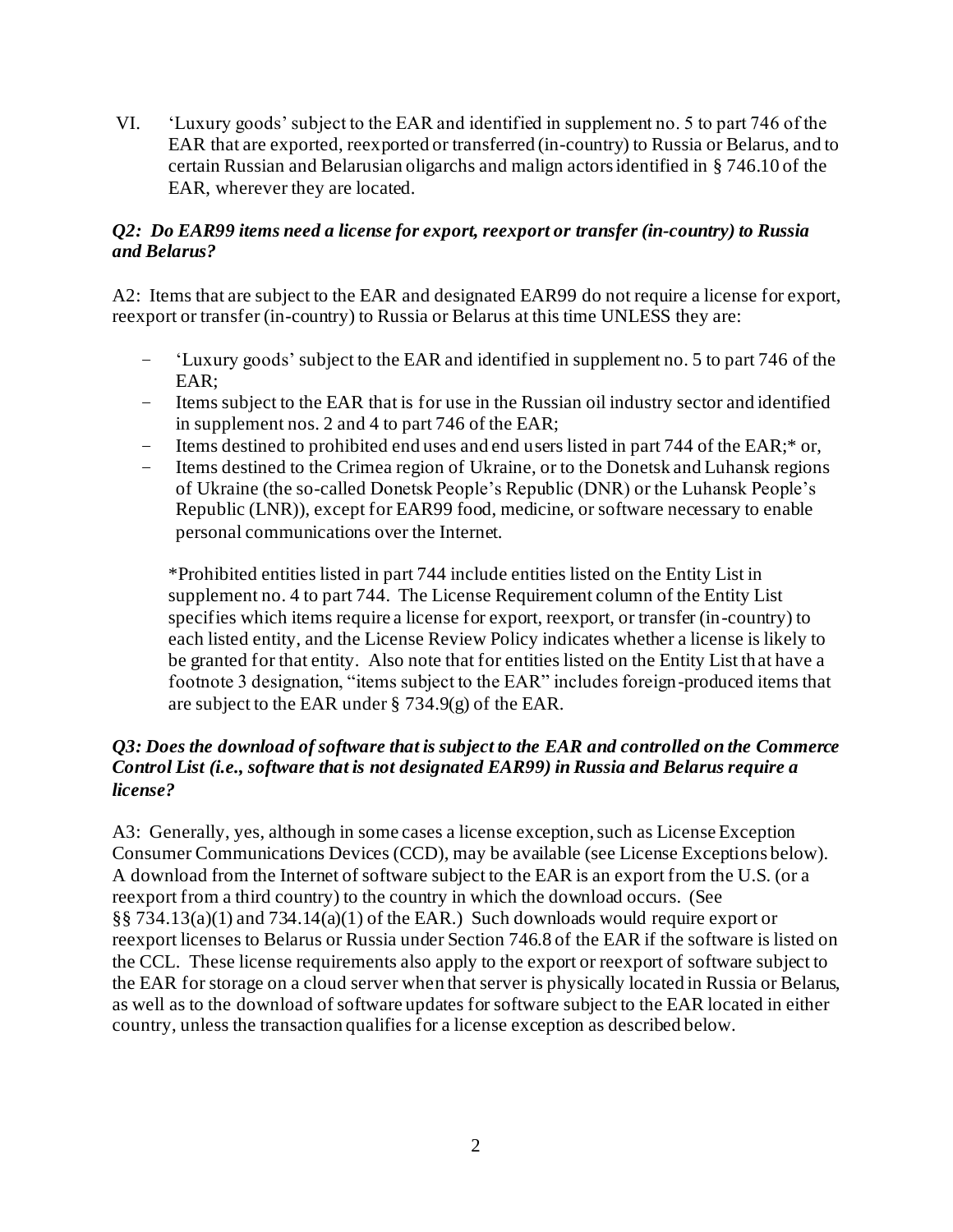VI. 'Luxury goods' subject to the EAR and identified in supplement no. 5 to part 746 of the EAR that are exported, reexported or transferred (in-country) to Russia or Belarus, and to certain Russian and Belarusian oligarchs and malign actors identified in § 746.10 of the EAR, wherever they are located.

## *Q2: Do EAR99 items need a license for export, reexport or transfer (in-country) to Russia and Belarus?*

A2: Items that are subject to the EAR and designated EAR99 do not require a license for export, reexport or transfer (in-country) to Russia or Belarus at this time UNLESS they are:

- 'Luxury goods' subject to the EAR and identified in supplement no. 5 to part 746 of the EAR;
- Items subject to the EAR that is for use in the Russian oil industry sector and identified in supplement nos. 2 and 4 to part 746 of the EAR;
- Items destined to prohibited end uses and end users listed in part 744 of the EAR;\* or,
- Items destined to the Crimea region of Ukraine, or to the Donetsk and Luhansk regions of Ukraine (the so-called Donetsk People's Republic (DNR) or the Luhansk People's Republic (LNR)), except for EAR99 food, medicine, or software necessary to enable personal communications over the Internet.

\*Prohibited entities listed in part 744 include entities listed on the Entity List in supplement no. 4 to part 744. The License Requirement column of the Entity List specifies which items require a license for export, reexport, or transfer (in-country) to each listed entity, and the License Review Policy indicates whether a license is likely to be granted for that entity. Also note that for entities listed on the Entity List that have a footnote 3 designation, "items subject to the EAR" includes foreign-produced items that are subject to the EAR under § 734.9(g) of the EAR.

### *Q3: Does the download of software that is subject to the EAR and controlled on the Commerce Control List (i.e., software that is not designated EAR99) in Russia and Belarus require a license?*

A3: Generally, yes, although in some cases a license exception, such as License Exception Consumer Communications Devices (CCD), may be available (see License Exceptions below). A download from the Internet of software subject to the EAR is an export from the U.S. (or a reexport from a third country) to the country in which the download occurs. (See §§ 734.13(a)(1) and 734.14(a)(1) of the EAR.) Such downloads would require export or reexport licenses to Belarus or Russia under Section 746.8 of the EAR if the software is listed on the CCL. These license requirements also apply to the export or reexport of software subject to the EAR for storage on a cloud server when that server is physically located in Russia or Belarus, as well as to the download of software updates for software subject to the EAR located in either country, unless the transaction qualifies for a license exception as described below.